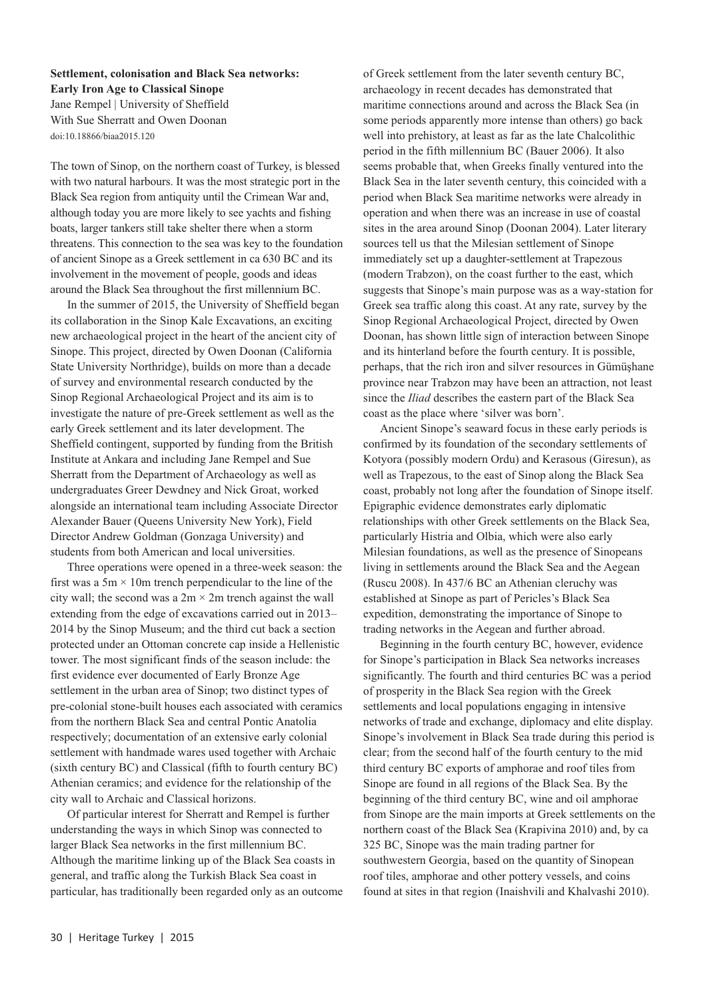**Settlement, colonisation and Black Sea networks: Early Iron Age to Classical Sinope**  Jane Rempel | University of Sheffield With Sue Sherratt and Owen Doonan doi:10.18866/biaa2015.120

The town of Sinop, on the northern coast of Turkey, is blessed with two natural harbours. It was the most strategic port in the Black Sea region from antiquity until the Crimean War and, although today you are more likely to see yachts and fishing boats, larger tankers still take shelter there when a storm threatens. This connection to the sea was key to the foundation of ancient Sinope as a Greek settlement in ca 630 BC and its involvement in the movement of people, goods and ideas around the Black Sea throughout the first millennium BC.

In the summer of 2015, the University of Sheffield began its collaboration in the Sinop Kale Excavations, an exciting new archaeological project in the heart of the ancient city of Sinope. This project, directed by Owen Doonan (California State University Northridge), builds on more than a decade of survey and environmental research conducted by the Sinop Regional Archaeological Project and its aim is to investigate the nature of pre-Greek settlement as well as the early Greek settlement and its later development. The Sheffield contingent, supported by funding from the British Institute at Ankara and including Jane Rempel and Sue Sherratt from the Department of Archaeology as well as undergraduates Greer Dewdney and Nick Groat, worked alongside an international team including Associate Director Alexander Bauer (Queens University New York), Field Director Andrew Goldman (Gonzaga University) and students from both American and local universities.

Three operations were opened in a three-week season: the first was a  $5m \times 10m$  trench perpendicular to the line of the city wall; the second was a  $2m \times 2m$  trench against the wall extending from the edge of excavations carried out in 2013– 2014 by the Sinop Museum; and the third cut back a section protected under an Ottoman concrete cap inside a Hellenistic tower. The most significant finds of the season include: the first evidence ever documented of Early Bronze Age settlement in the urban area of Sinop; two distinct types of pre-colonial stone-built houses each associated with ceramics from the northern Black Sea and central Pontic Anatolia respectively; documentation of an extensive early colonial settlement with handmade wares used together with Archaic (sixth century BC) and Classical (fifth to fourth century BC) Athenian ceramics; and evidence for the relationship of the city wall to Archaic and Classical horizons.

Of particular interest for Sherratt and Rempel is further understanding the ways in which Sinop was connected to larger Black Sea networks in the first millennium BC. Although the maritime linking up of the Black Sea coasts in general, and traffic along the Turkish Black Sea coast in particular, has traditionally been regarded only as an outcome of Greek settlement from the later seventh century BC, archaeology in recent decades has demonstrated that maritime connections around and across the Black Sea (in some periods apparently more intense than others) go back well into prehistory, at least as far as the late Chalcolithic period in the fifth millennium BC (Bauer 2006). It also seems probable that, when Greeks finally ventured into the Black Sea in the later seventh century, this coincided with a period when Black Sea maritime networks were already in operation and when there was an increase in use of coastal sites in the area around Sinop (Doonan 2004). Later literary sources tell us that the Milesian settlement of Sinope immediately set up a daughter-settlement at Trapezous (modern Trabzon), on the coast further to the east, which suggests that Sinope's main purpose was as a way-station for Greek sea traffic along this coast. At any rate, survey by the Sinop Regional Archaeological Project, directed by Owen Doonan, has shown little sign of interaction between Sinope and its hinterland before the fourth century. It is possible, perhaps, that the rich iron and silver resources in Gümüşhane province near Trabzon may have been an attraction, not least since the *Iliad* describes the eastern part of the Black Sea coast as the place where 'silver was born'.

Ancient Sinope's seaward focus in these early periods is confirmed by its foundation of the secondary settlements of Kotyora (possibly modern Ordu) and Kerasous (Giresun), as well as Trapezous, to the east of Sinop along the Black Sea coast, probably not long after the foundation of Sinope itself. Epigraphic evidence demonstrates early diplomatic relationships with other Greek settlements on the Black Sea, particularly Histria and Olbia, which were also early Milesian foundations, as well as the presence of Sinopeans living in settlements around the Black Sea and the Aegean (Ruscu 2008). In 437/6 BC an Athenian cleruchy was established at Sinope as part of Pericles's Black Sea expedition, demonstrating the importance of Sinope to trading networks in the Aegean and further abroad.

Beginning in the fourth century BC, however, evidence for Sinope's participation in Black Sea networks increases significantly. The fourth and third centuries BC was a period of prosperity in the Black Sea region with the Greek settlements and local populations engaging in intensive networks of trade and exchange, diplomacy and elite display. Sinope's involvement in Black Sea trade during this period is clear; from the second half of the fourth century to the mid third century BC exports of amphorae and roof tiles from Sinope are found in all regions of the Black Sea. By the beginning of the third century BC, wine and oil amphorae from Sinope are the main imports at Greek settlements on the northern coast of the Black Sea (Krapivina 2010) and, by ca 325 BC, Sinope was the main trading partner for southwestern Georgia, based on the quantity of Sinopean roof tiles, amphorae and other pottery vessels, and coins found at sites in that region (Inaishvili and Khalvashi 2010).